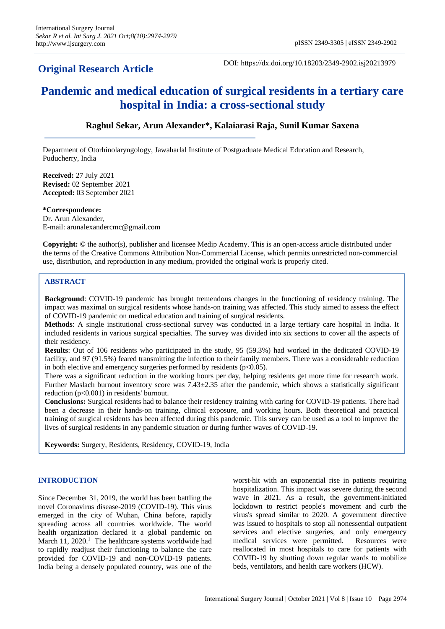## **Original Research Article**

DOI: https://dx.doi.org/10.18203/2349-2902.isj20213979

# **Pandemic and medical education of surgical residents in a tertiary care hospital in India: a cross-sectional study**

## **Raghul Sekar, Arun Alexander\*, Kalaiarasi Raja, Sunil Kumar Saxena**

Department of Otorhinolaryngology, Jawaharlal Institute of Postgraduate Medical Education and Research, Puducherry, India

**Received:** 27 July 2021 **Revised:** 02 September 2021 **Accepted:** 03 September 2021

**\*Correspondence:** Dr. Arun Alexander, E-mail: arunalexandercmc@gmail.com

**Copyright:** © the author(s), publisher and licensee Medip Academy. This is an open-access article distributed under the terms of the Creative Commons Attribution Non-Commercial License, which permits unrestricted non-commercial use, distribution, and reproduction in any medium, provided the original work is properly cited.

## **ABSTRACT**

**Background**: COVID-19 pandemic has brought tremendous changes in the functioning of residency training. The impact was maximal on surgical residents whose hands-on training was affected. This study aimed to assess the effect of COVID-19 pandemic on medical education and training of surgical residents.

**Methods**: A single institutional cross-sectional survey was conducted in a large tertiary care hospital in India. It included residents in various surgical specialties. The survey was divided into six sections to cover all the aspects of their residency.

**Results**: Out of 106 residents who participated in the study, 95 (59.3%) had worked in the dedicated COVID-19 facility, and 97 (91.5%) feared transmitting the infection to their family members. There was a considerable reduction in both elective and emergency surgeries performed by residents ( $p<0.05$ ).

There was a significant reduction in the working hours per day, helping residents get more time for research work. Further Maslach burnout inventory score was 7.43±2.35 after the pandemic, which shows a statistically significant reduction (p<0.001) in residents' burnout.

**Conclusions:** Surgical residents had to balance their residency training with caring for COVID-19 patients. There had been a decrease in their hands-on training, clinical exposure, and working hours. Both theoretical and practical training of surgical residents has been affected during this pandemic. This survey can be used as a tool to improve the lives of surgical residents in any pandemic situation or during further waves of COVID-19.

**Keywords:** Surgery, Residents, Residency, COVID-19, India

## **INTRODUCTION**

Since December 31, 2019, the world has been battling the novel Coronavirus disease-2019 (COVID-19). This virus emerged in the city of Wuhan, China before, rapidly spreading across all countries worldwide. The world health organization declared it a global pandemic on March 11, 2020.<sup>1</sup> The healthcare systems worldwide had to rapidly readjust their functioning to balance the care provided for COVID-19 and non-COVID-19 patients. India being a densely populated country, was one of the worst-hit with an exponential rise in patients requiring hospitalization. This impact was severe during the second wave in 2021. As a result, the government-initiated lockdown to restrict people's movement and curb the virus's spread similar to 2020. A government directive was issued to hospitals to stop all nonessential outpatient services and elective surgeries, and only emergency medical services were permitted. Resources were reallocated in most hospitals to care for patients with COVID-19 by shutting down regular wards to mobilize beds, ventilators, and health care workers (HCW).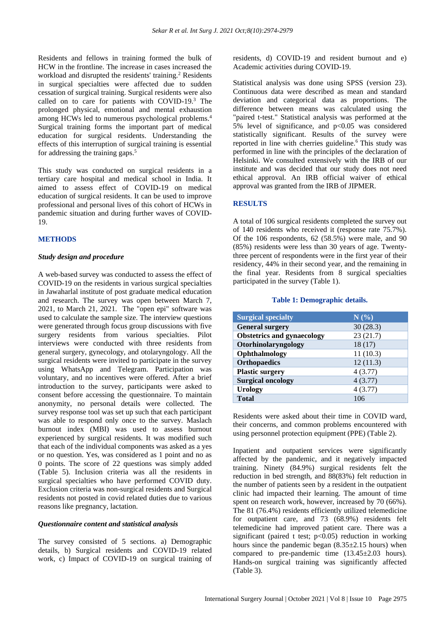Residents and fellows in training formed the bulk of HCW in the frontline. The increase in cases increased the workload and disrupted the residents' training.<sup>2</sup> Residents in surgical specialties were affected due to sudden cessation of surgical training. Surgical residents were also called on to care for patients with COVID-19.<sup>3</sup> The prolonged physical, emotional and mental exhaustion among HCWs led to numerous psychological problems.<sup>4</sup> Surgical training forms the important part of medical education for surgical residents. Understanding the effects of this interruption of surgical training is essential for addressing the training gaps.<sup>5</sup>

This study was conducted on surgical residents in a tertiary care hospital and medical school in India. It aimed to assess effect of COVID-19 on medical education of surgical residents. It can be used to improve professional and personal lives of this cohort of HCWs in pandemic situation and during further waves of COVID-19.

## **METHODS**

#### *Study design and procedure*

A web-based survey was conducted to assess the effect of COVID-19 on the residents in various surgical specialties in Jawaharlal institute of post graduate medical education and research. The survey was open between March 7, 2021, to March 21, 2021. The "open epi" software was used to calculate the sample size. The interview questions were generated through focus group discussions with five surgery residents from various specialties. Pilot interviews were conducted with three residents from general surgery, gynecology, and otolaryngology. All the surgical residents were invited to participate in the survey using WhatsApp and Telegram. Participation was voluntary, and no incentives were offered. After a brief introduction to the survey, participants were asked to consent before accessing the questionnaire. To maintain anonymity, no personal details were collected. The survey response tool was set up such that each participant was able to respond only once to the survey. Maslach burnout index (MBI) was used to assess burnout experienced by surgical residents. It was modified such that each of the individual components was asked as a yes or no question. Yes, was considered as 1 point and no as 0 points. The score of 22 questions was simply added (Table 5). Inclusion criteria was all the residents in surgical specialties who have performed COVID duty. Exclusion criteria was non-surgical residents and Surgical residents not posted in covid related duties due to various reasons like pregnancy, lactation.

#### *Questionnaire content and statistical analysis*

The survey consisted of 5 sections. a) Demographic details, b) Surgical residents and COVID-19 related work, c) Impact of COVID-19 on surgical training of residents, d) COVID-19 and resident burnout and e) Academic activities during COVID-19.

Statistical analysis was done using SPSS (version 23). Continuous data were described as mean and standard deviation and categorical data as proportions. The difference between means was calculated using the "paired t-test." Statistical analysis was performed at the 5% level of significance, and  $p<0.05$  was considered statistically significant. Results of the survey were reported in line with cherries guideline.<sup>6</sup> This study was performed in line with the principles of the declaration of Helsinki. We consulted extensively with the IRB of our institute and was decided that our study does not need ethical approval. An IRB official waiver of ethical approval was granted from the IRB of JIPMER.

#### **RESULTS**

A total of 106 surgical residents completed the survey out of 140 residents who received it (response rate 75.7%). Of the 106 respondents, 62 (58.5%) were male, and 90 (85%) residents were less than 30 years of age. Twentythree percent of respondents were in the first year of their residency, 44% in their second year, and the remaining in the final year. Residents from 8 surgical specialties participated in the survey (Table 1).

#### **Table 1: Demographic details.**

| <b>Surgical specialty</b>         | N(%)     |
|-----------------------------------|----------|
| <b>General surgery</b>            | 30(28.3) |
| <b>Obstetrics and gynaecology</b> | 23(21.7) |
| Otorhinolaryngology               | 18(17)   |
| Ophthalmology                     | 11(10.3) |
| <b>Orthopaedics</b>               | 12(11.3) |
| <b>Plastic surgery</b>            | 4(3.77)  |
| <b>Surgical oncology</b>          | 4(3.77)  |
| <b>Urology</b>                    | 4(3.77)  |
| Total                             | 106      |

Residents were asked about their time in COVID ward, their concerns, and common problems encountered with using personnel protection equipment (PPE) (Table 2).

Inpatient and outpatient services were significantly affected by the pandemic, and it negatively impacted training. Ninety (84.9%) surgical residents felt the reduction in bed strength, and 88(83%) felt reduction in the number of patients seen by a resident in the outpatient clinic had impacted their learning. The amount of time spent on research work, however, increased by 70 (66%). The 81 (76.4%) residents efficiently utilized telemedicine for outpatient care, and 73 (68.9%) residents felt telemedicine had improved patient care. There was a significant (paired t test;  $p<0.05$ ) reduction in working hours since the pandemic began  $(8.35\pm2.15)$  hours) when compared to pre-pandemic time (13.45±2.03 hours). Hands-on surgical training was significantly affected (Table 3).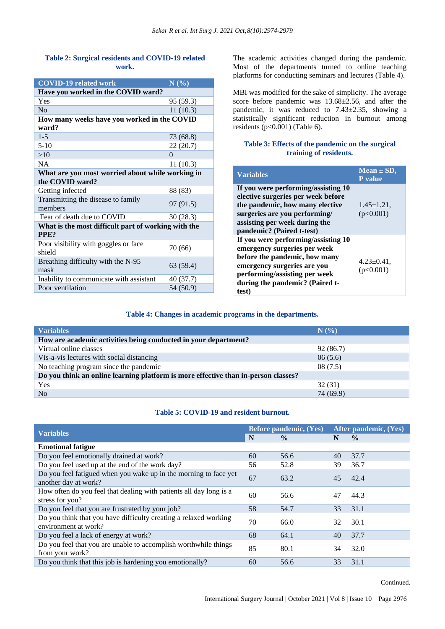## **Table 2: Surgical residents and COVID-19 related work.**

| <b>COVID-19 related work</b>                        | N(%)      |  |  |  |
|-----------------------------------------------------|-----------|--|--|--|
| Have you worked in the COVID ward?                  |           |  |  |  |
| Yes                                                 | 95 (59.3) |  |  |  |
| No                                                  | 11(10.3)  |  |  |  |
| How many weeks have you worked in the COVID         |           |  |  |  |
| ward?                                               |           |  |  |  |
| $1 - 5$                                             | 73 (68.8) |  |  |  |
| $5-10$                                              | 22(20.7)  |  |  |  |
| >10                                                 | $\Omega$  |  |  |  |
| NA.                                                 | 11(10.3)  |  |  |  |
| What are you most worried about while working in    |           |  |  |  |
| the COVID ward?                                     |           |  |  |  |
| Getting infected                                    | 88 (83)   |  |  |  |
| Transmitting the disease to family                  |           |  |  |  |
| members                                             | 97 (91.5) |  |  |  |
| Fear of death due to COVID                          | 30(28.3)  |  |  |  |
| What is the most difficult part of working with the |           |  |  |  |
| PP <sub>E</sub> ?                                   |           |  |  |  |
| Poor visibility with goggles or face                | 70 (66)   |  |  |  |
| shield                                              |           |  |  |  |
| Breathing difficulty with the N-95                  | 63 (59.4) |  |  |  |
| mask                                                |           |  |  |  |
| Inability to communicate with assistant             | 40 (37.7) |  |  |  |
| Poor ventilation                                    | 54 (50.9) |  |  |  |

The academic activities changed during the pandemic. Most of the departments turned to online teaching platforms for conducting seminars and lectures (Table 4).

MBI was modified for the sake of simplicity. The average score before pandemic was 13.68±2.56, and after the pandemic, it was reduced to 7.43±2.35, showing a statistically significant reduction in burnout among residents ( $p<0.001$ ) (Table 6).

## **Table 3: Effects of the pandemic on the surgical training of residents.**

| <b>Variables</b>                                                                                                                                                                                                 | Mean $\pm$ SD,<br><b>P</b> value |
|------------------------------------------------------------------------------------------------------------------------------------------------------------------------------------------------------------------|----------------------------------|
| If you were performing/assisting 10<br>elective surgeries per week before<br>the pandemic, how many elective<br>surgeries are you performing/<br>assisting per week during the<br>pandemic? (Paired t-test)      | $1.45 \pm 1.21$ ,<br>(p<0.001)   |
| If you were performing/assisting 10<br>emergency surgeries per week<br>before the pandemic, how many<br>emergency surgeries are you<br>performing/assisting per week<br>during the pandemic? (Paired t-<br>test) | $4.23 \pm 0.41$ ,<br>(p<0.001)   |

## **Table 4: Changes in academic programs in the departments.**

| <b>Variables</b>                                                                   | N(%       |  |  |  |
|------------------------------------------------------------------------------------|-----------|--|--|--|
| How are academic activities being conducted in your department?                    |           |  |  |  |
| Virtual online classes                                                             | 92 (86.7) |  |  |  |
| Vis-a-vis lectures with social distancing                                          | 06(5.6)   |  |  |  |
| No teaching program since the pandemic                                             | 08(7.5)   |  |  |  |
| Do you think an online learning platform is more effective than in-person classes? |           |  |  |  |
| Yes                                                                                | 32(31)    |  |  |  |
| No                                                                                 | 74 (69.9) |  |  |  |

## **Table 5: COVID-19 and resident burnout.**

| <b>Variables</b>                                                                         |    | <b>Before pandemic, (Yes)</b> |    | After pandemic, (Yes) |  |
|------------------------------------------------------------------------------------------|----|-------------------------------|----|-----------------------|--|
|                                                                                          |    | $\frac{0}{0}$                 | N  | $\frac{6}{9}$         |  |
| <b>Emotional fatigue</b>                                                                 |    |                               |    |                       |  |
| Do you feel emotionally drained at work?                                                 | 60 | 56.6                          | 40 | 37.7                  |  |
| Do you feel used up at the end of the work day?                                          | 56 | 52.8                          | 39 | 36.7                  |  |
| Do you feel fatigued when you wake up in the morning to face yet<br>another day at work? | 67 | 63.2                          | 45 | 42.4                  |  |
| How often do you feel that dealing with patients all day long is a<br>stress for you?    | 60 | 56.6                          | 47 | 44.3                  |  |
| Do you feel that you are frustrated by your job?                                         | 58 | 54.7                          | 33 | 31.1                  |  |
| Do you think that you have difficulty creating a relaxed working<br>environment at work? |    | 66.0                          | 32 | 30.1                  |  |
| Do you feel a lack of energy at work?                                                    | 68 | 64.1                          | 40 | 37.7                  |  |
| Do you feel that you are unable to accomplish worthwhile things<br>from your work?       | 85 | 80.1                          | 34 | 32.0                  |  |
| Do you think that this job is hardening you emotionally?                                 | 60 | 56.6                          | 33 | 31.1                  |  |

Continued.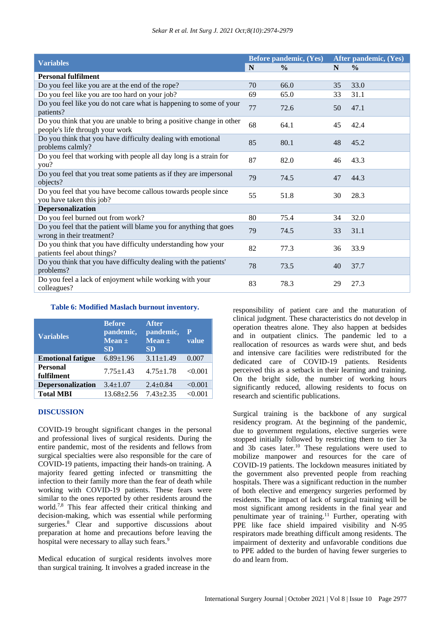| <b>Variables</b>                                                                                        |    | Before pandemic, (Yes) |    | After pandemic, (Yes) |  |
|---------------------------------------------------------------------------------------------------------|----|------------------------|----|-----------------------|--|
|                                                                                                         | N  | $\frac{0}{0}$          | N  | $\frac{0}{0}$         |  |
| <b>Personal fulfilment</b>                                                                              |    |                        |    |                       |  |
| Do you feel like you are at the end of the rope?                                                        | 70 | 66.0                   | 35 | 33.0                  |  |
| Do you feel like you are too hard on your job?                                                          | 69 | 65.0                   | 33 | 31.1                  |  |
| Do you feel like you do not care what is happening to some of your<br>patients?                         | 77 | 72.6                   | 50 | 47.1                  |  |
| Do you think that you are unable to bring a positive change in other<br>people's life through your work | 68 | 64.1                   | 45 | 42.4                  |  |
| Do you think that you have difficulty dealing with emotional<br>problems calmly?                        | 85 | 80.1                   | 48 | 45.2                  |  |
| Do you feel that working with people all day long is a strain for<br>you?                               | 87 | 82.0                   | 46 | 43.3                  |  |
| Do you feel that you treat some patients as if they are impersonal<br>objects?                          | 79 | 74.5                   | 47 | 44.3                  |  |
| Do you feel that you have become callous towards people since<br>you have taken this job?               | 55 | 51.8                   | 30 | 28.3                  |  |
| <b>Depersonalization</b>                                                                                |    |                        |    |                       |  |
| Do you feel burned out from work?                                                                       | 80 | 75.4                   | 34 | 32.0                  |  |
| Do you feel that the patient will blame you for anything that goes<br>wrong in their treatment?         | 79 | 74.5                   | 33 | 31.1                  |  |
| Do you think that you have difficulty understanding how your<br>patients feel about things?             | 82 | 77.3                   | 36 | 33.9                  |  |
| Do you think that you have difficulty dealing with the patients'<br>problems?                           | 78 | 73.5                   | 40 | 37.7                  |  |
| Do you feel a lack of enjoyment while working with your<br>colleagues?                                  | 83 | 78.3                   | 29 | 27.3                  |  |

#### **Table 6: Modified Maslach burnout inventory.**

| <b>Variables</b>              | <b>Before</b><br>pandemic,<br>Mean $\pm$<br><b>SD</b> | <b>After</b><br>pandemic,<br>Mean $\pm$<br><b>SD</b> | $\mathbf P$<br>value |
|-------------------------------|-------------------------------------------------------|------------------------------------------------------|----------------------|
| <b>Emotional fatigue</b>      | $6.89 \pm 1.96$                                       | $3.11 \pm 1.49$                                      | 0.007                |
| <b>Personal</b><br>fulfilment | $7.75 \pm 1.43$                                       | $4.75 \pm 1.78$                                      | < 0.001              |
| <b>Depersonalization</b>      | $3.4 \pm 1.07$                                        | $2.4 \pm 0.84$                                       | < 0.001              |
| <b>Total MBI</b>              | $13.68 \pm 2.56$                                      | $7.43 \pm 2.35$                                      | < 0.001              |

## **DISCUSSION**

COVID-19 brought significant changes in the personal and professional lives of surgical residents. During the entire pandemic, most of the residents and fellows from surgical specialties were also responsible for the care of COVID-19 patients, impacting their hands-on training. A majority feared getting infected or transmitting the infection to their family more than the fear of death while working with COVID-19 patients. These fears were similar to the ones reported by other residents around the world.<sup>7,8</sup> This fear affected their critical thinking and decision-making, which was essential while performing surgeries.<sup>8</sup> Clear and supportive discussions about preparation at home and precautions before leaving the hospital were necessary to allay such fears.<sup>9</sup>

Medical education of surgical residents involves more than surgical training. It involves a graded increase in the

responsibility of patient care and the maturation of clinical judgment. These characteristics do not develop in operation theatres alone. They also happen at bedsides and in outpatient clinics. The pandemic led to a reallocation of resources as wards were shut, and beds and intensive care facilities were redistributed for the dedicated care of COVID-19 patients. Residents perceived this as a setback in their learning and training. On the bright side, the number of working hours significantly reduced, allowing residents to focus on research and scientific publications.

Surgical training is the backbone of any surgical residency program. At the beginning of the pandemic, due to government regulations, elective surgeries were stopped initially followed by restricting them to tier 3a and 3b cases later.<sup>10</sup> These regulations were used to mobilize manpower and resources for the care of COVID-19 patients. The lockdown measures initiated by the government also prevented people from reaching hospitals. There was a significant reduction in the number of both elective and emergency surgeries performed by residents. The impact of lack of surgical training will be most significant among residents in the final year and penultimate year of training.<sup>11</sup> Further, operating with PPE like face shield impaired visibility and N-95 respirators made breathing difficult among residents. The impairment of dexterity and unfavorable conditions due to PPE added to the burden of having fewer surgeries to do and learn from.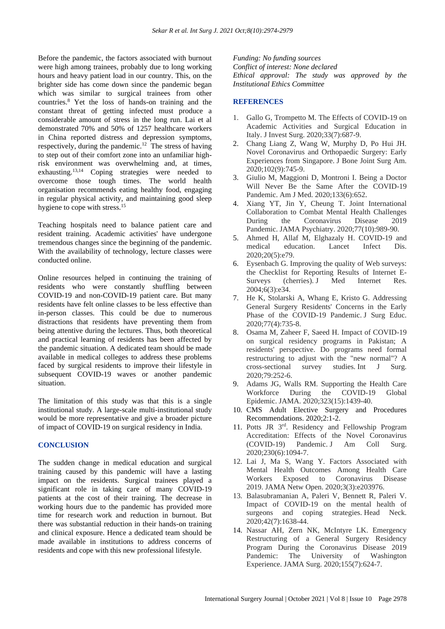Before the pandemic, the factors associated with burnout were high among trainees, probably due to long working hours and heavy patient load in our country. This, on the brighter side has come down since the pandemic began which was similar to surgical trainees from other countries.<sup>8</sup> Yet the loss of hands-on training and the constant threat of getting infected must produce a considerable amount of stress in the long run. Lai et al demonstrated 70% and 50% of 1257 healthcare workers in China reported distress and depression symptoms, respectively, during the pandemic.<sup>12</sup> The stress of having to step out of their comfort zone into an unfamiliar highrisk environment was overwhelming and, at times, exhausting.13,14 Coping strategies were needed to overcome those tough times. The world health organisation recommends eating healthy food, engaging in regular physical activity, and maintaining good sleep hygiene to cope with stress.<sup>15</sup>

Teaching hospitals need to balance patient care and resident training. Academic activities' have undergone tremendous changes since the beginning of the pandemic. With the availability of technology, lecture classes were conducted online.

Online resources helped in continuing the training of residents who were constantly shuffling between COVID-19 and non-COVID-19 patient care. But many residents have felt online classes to be less effective than in-person classes. This could be due to numerous distractions that residents have preventing them from being attentive during the lectures. Thus, both theoretical and practical learning of residents has been affected by the pandemic situation. A dedicated team should be made available in medical colleges to address these problems faced by surgical residents to improve their lifestyle in subsequent COVID-19 waves or another pandemic situation.

The limitation of this study was that this is a single institutional study. A large-scale multi-institutional study would be more representative and give a broader picture of impact of COVID-19 on surgical residency in India.

## **CONCLUSION**

The sudden change in medical education and surgical training caused by this pandemic will have a lasting impact on the residents. Surgical trainees played a significant role in taking care of many COVID-19 patients at the cost of their training. The decrease in working hours due to the pandemic has provided more time for research work and reduction in burnout. But there was substantial reduction in their hands-on training and clinical exposure. Hence a dedicated team should be made available in institutions to address concerns of residents and cope with this new professional lifestyle.

*Funding: No funding sources Conflict of interest: None declared Ethical approval: The study was approved by the Institutional Ethics Committee*

## **REFERENCES**

- 1. Gallo G, Trompetto M. The Effects of COVID-19 on Academic Activities and Surgical Education in Italy. J Invest Surg. 2020;33(7):687-9.
- 2. Chang Liang Z, Wang W, Murphy D, Po Hui JH. Novel Coronavirus and Orthopaedic Surgery: Early Experiences from Singapore. J Bone Joint Surg Am. 2020;102(9):745-9.
- 3. Giulio M, Maggioni D, Montroni I. Being a Doctor Will Never Be the Same After the COVID-19 Pandemic. Am J Med. 2020;133(6):652.
- 4. Xiang YT, Jin Y, Cheung T. Joint International Collaboration to Combat Mental Health Challenges During the Coronavirus Disease 2019 Pandemic. JAMA Psychiatry. 2020;77(10):989-90.
- 5. Ahmed H, Allaf M, Elghazaly H. COVID-19 and medical education. Lancet Infect Dis. 2020;20(5):e79.
- 6. Eysenbach G. Improving the quality of Web surveys: the Checklist for Reporting Results of Internet E-Surveys (cherries). J Med Internet Res. 2004;6(3):e34.
- 7. He K, Stolarski A, Whang E, Kristo G. Addressing General Surgery Residents' Concerns in the Early Phase of the COVID-19 Pandemic. J Surg Educ. 2020;77(4):735-8.
- 8. Osama M, Zaheer F, Saeed H. Impact of COVID-19 on surgical residency programs in Pakistan; A residents' perspective. Do programs need formal restructuring to adjust with the "new normal"? A cross-sectional survey studies. Int J Surg. 2020;79:252-6.
- 9. Adams JG, Walls RM. Supporting the Health Care Workforce During the COVID-19 Global Epidemic. JAMA. 2020;323(15):1439-40.
- 10. CMS Adult Elective Surgery and Procedures Recommendations. 2020;2:1-2.
- 11. Potts JR 3rd. Residency and Fellowship Program Accreditation: Effects of the Novel Coronavirus (COVID-19) Pandemic. J Am Coll Surg. 2020;230(6):1094-7.
- 12. Lai J, Ma S, Wang Y. Factors Associated with Mental Health Outcomes Among Health Care Workers Exposed to Coronavirus Disease 2019. JAMA Netw Open. 2020;3(3):e203976.
- 13. Balasubramanian A, Paleri V, Bennett R, Paleri V. Impact of COVID-19 on the mental health of surgeons and coping strategies. Head Neck. 2020;42(7):1638-44.
- 14. Nassar AH, Zern NK, McIntyre LK. Emergency Restructuring of a General Surgery Residency Program During the Coronavirus Disease 2019 Pandemic: The University of Washington Experience. JAMA Surg. 2020;155(7):624-7.